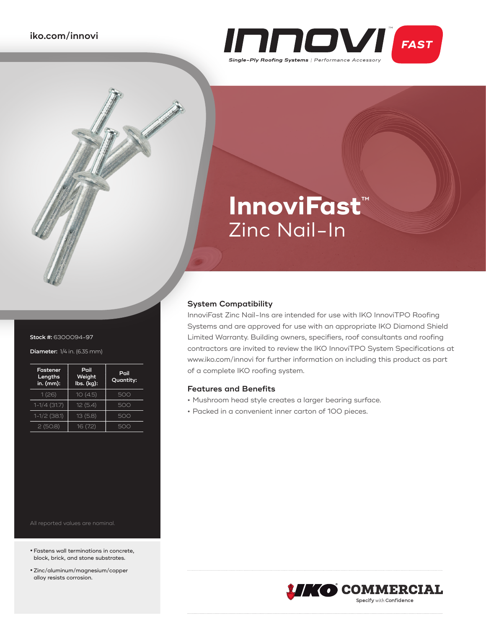

# **InnoviFast**™ Zinc Nail-In

## **System Compatibility**

InnoviFast Zinc Nail-Ins are intended for use with IKO InnoviTPO Roofing Systems and are approved for use with an appropriate IKO Diamond Shield Limited Warranty. Building owners, specifiers, roof consultants and roofing contractors are invited to review the IKO InnoviTPO System Specifications at www.iko.com/innovi for further information on including this product as part of a complete IKO roofing system.

### **Features and Benefits**

- **•** Mushroom head style creates a larger bearing surface.
- **•** Packed in a convenient inner carton of 100 pieces.



| Fastener<br>Lengths<br>in. (mm): | Pail<br>Weight<br>lbs. (kg): | Pail<br>Quantity: |
|----------------------------------|------------------------------|-------------------|
| 1(26)                            | 10(4.5)                      | 500               |
| $1-1/4$ (31.7)                   | 12(5.4)                      | 500               |
| $1-1/2$ (38.1)                   | 13(5.8)                      | 500               |
| 2(50.8)                          | 16 (7.2)                     | 500               |

- **•**Fastens wall terminations in concrete, block, brick, and stone substrates.
- **•**Zinc/aluminum/magnesium/copper alloy resists corrosion.



**Stock #:** 6300094-97

| Fastener<br>Lengths<br>$in.$ (mm): | Pail<br>Weight<br>lbs. (kg): | Pail<br>Quantity: |  |
|------------------------------------|------------------------------|-------------------|--|
| 1(26)                              | 10(4.5)                      | 500               |  |
| $1-1/4(31.7)$                      | 12(5.4)                      | 500               |  |
| $1-1/2$ (38.1)                     | 13(5.8)                      | 500               |  |
| 2(50.8)                            | 16 (7.2)                     |                   |  |